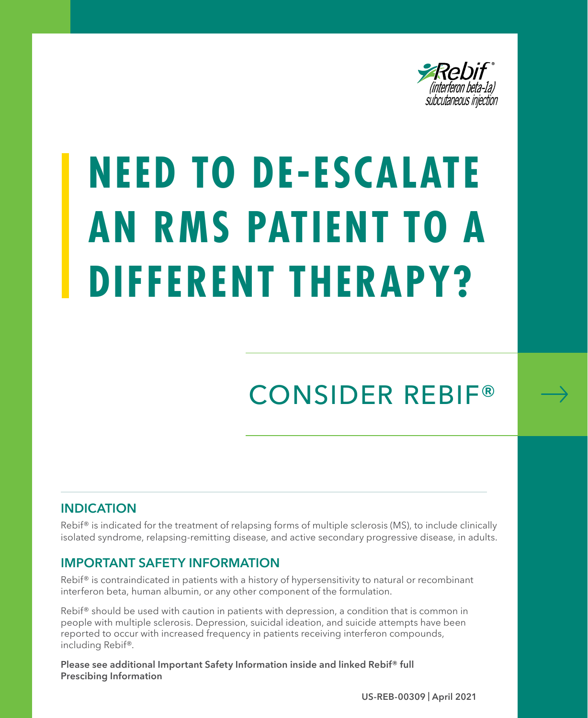

# **NEED TO DE-ESCALATE AN RMS PATIENT TO A DIFFERENT THERAPY?**

## CONSIDER REBIF®

### **INDICATION**

Rebif<sup>®</sup> is indicated for the treatment of relapsing forms of multiple sclerosis (MS), to include clinically isolated syndrome, relapsing-remitting disease, and active secondary progressive disease, in adults.

### **IMPORTANT SAFETY INFORMATION**

Rebif<sup>®</sup> is contraindicated in patients with a history of hypersensitivity to natural or recombinant interferon beta, human albumin, or any other component of the formulation.

Rebif<sup>®</sup> should be used with caution in patients with depression, a condition that is common in people with multiple sclerosis. Depression, suicidal ideation, and suicide attempts have been reported to occur with increased frequency in patients receiving interferon compounds, including Rebif®.

**Please see additional Important Safety Information inside and linked Rebif® full Prescibing Information**

**US-REB-00309 | April 2021**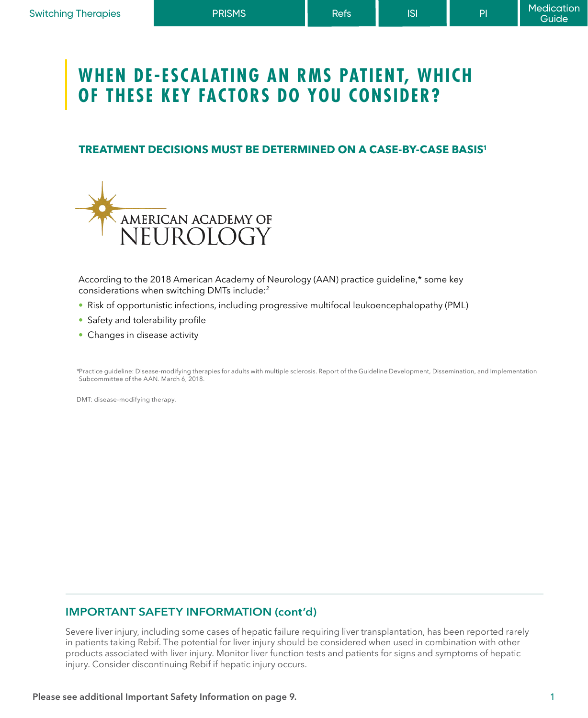### **WHEN DE-ESCALATING AN RMS PATIENT, WHICH OF THESE KEY FACTORS DO YOU CONSIDER?**

### **TREATMENT DECISIONS MUST BE DETERMINED ON A CASE-BY-CASE BASIS1**



According to the 2018 American Academy of Neurology (AAN) practice guideline,\* some key considerations when switching DMTs include:2

- Risk of opportunistic infections, including progressive multifocal leukoencephalopathy (PML)
- Safety and tolerability profile
- Changes in disease activity

\*Practice guideline: Disease-modifying therapies for adults with multiple sclerosis. Report of the Guideline Development, Dissemination, and Implementation Subcommittee of the AAN. March 6, 2018.

DMT: disease-modifying therapy.

### **IMPORTANT SAFETY INFORMATION (cont'd)**

Severe liver injury, including some cases of hepatic failure requiring liver transplantation, has been reported rarely in patients taking Rebif. The potential for liver injury should be considered when used in combination with other products associated with liver injury. Monitor liver function tests and patients for signs and symptoms of hepatic injury. Consider discontinuing Rebif if hepatic injury occurs.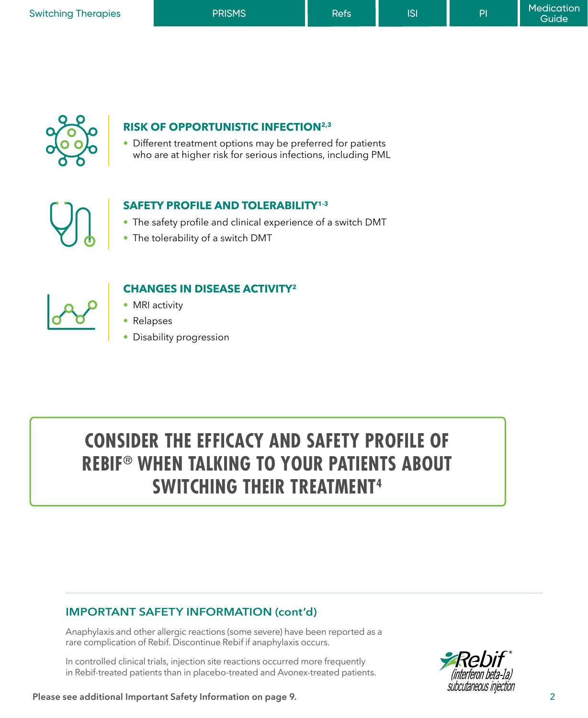| <b>Switching Therapies</b> | <b>PRISMS</b> | Refs <sup>1</sup> | S | PI | Medication<br>Guide <sup>1</sup> |
|----------------------------|---------------|-------------------|---|----|----------------------------------|
|                            |               |                   |   |    |                                  |



#### **RISK OF OPPORTUNISTIC INFECTION2,3**

• Different treatment options may be preferred for patients who are at higher risk for serious infections, including PML



### **SAFETY PROFILE AND TOLERABILITY1-3**

- The safety profile and clinical experience of a switch DMT
- The tolerability of a switch DMT



### **CHANGES IN DISEASE ACTIVITY2**

- MRI activity
- Relapses
- Disability progression

### **CONSIDER THE EFFICACY AND SAFETY PROFILE OF REBIF® WHEN TALKING TO YOUR PATIENTS ABOUT SWITCHING THEIR TREATMENT4**

#### **IMPORTANT SAFETY INFORMATION (cont'd)**

Anaphylaxis and other allergic reactions (some severe) have been reported as a rare complication of Rebif. Discontinue Rebif if anaphylaxis occurs.

In controlled clinical trials, injection site reactions occurred more frequently in Rebif-treated patients than in placebo-treated and Avonex-treated patients.



**Please see additional Important Safety Information on page 9.**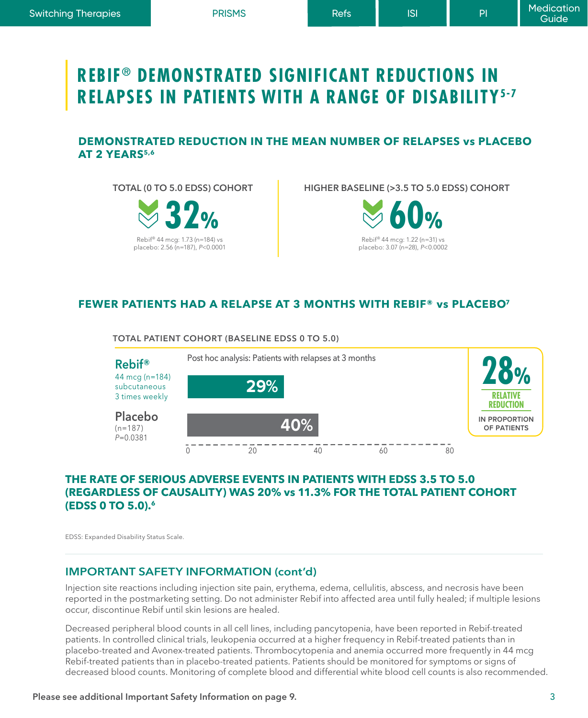### **REBIF® DEMONSTRATED SIGNIFICANT REDUCTIONS IN RELAPSES IN PATIENTS WITH A RANGE OF DISABILITY5-7**

### **DEMONSTRATED REDUCTION IN THE MEAN NUMBER OF RELAPSES vs PLACEBO AT 2 YEARS5,6**

**TOTAL (0 TO 5.0 EDSS) COHORT** 



**HIGHER BASELINE (>3.5 TO 5.0 EDSS) COHORT**



### **FEWER PATIENTS HAD A RELAPSE AT 3 MONTHS WITH REBIF® vs PLACEBO7**



### **THE RATE OF SERIOUS ADVERSE EVENTS IN PATIENTS WITH EDSS 3.5 TO 5.0 (REGARDLESS OF CAUSALITY) WAS 20% vs 11.3% FOR THE TOTAL PATIENT COHORT (EDSS 0 TO 5.0).6**

EDSS: Expanded Disability Status Scale.

### **IMPORTANT SAFETY INFORMATION (cont'd)**

Injection site reactions including injection site pain, erythema, edema, cellulitis, abscess, and necrosis have been reported in the postmarketing setting. Do not administer Rebif into affected area until fully healed; if multiple lesions occur, discontinue Rebif until skin lesions are healed.

Decreased peripheral blood counts in all cell lines, including pancytopenia, have been reported in Rebif-treated patients. In controlled clinical trials, leukopenia occurred at a higher frequency in Rebif-treated patients than in placebo-treated and Avonex-treated patients. Thrombocytopenia and anemia occurred more frequently in 44 mcg Rebif-treated patients than in placebo-treated patients. Patients should be monitored for symptoms or signs of decreased blood counts. Monitoring of complete blood and differential white blood cell counts is also recommended.

### **Please see additional Important Safety Information on page 9.**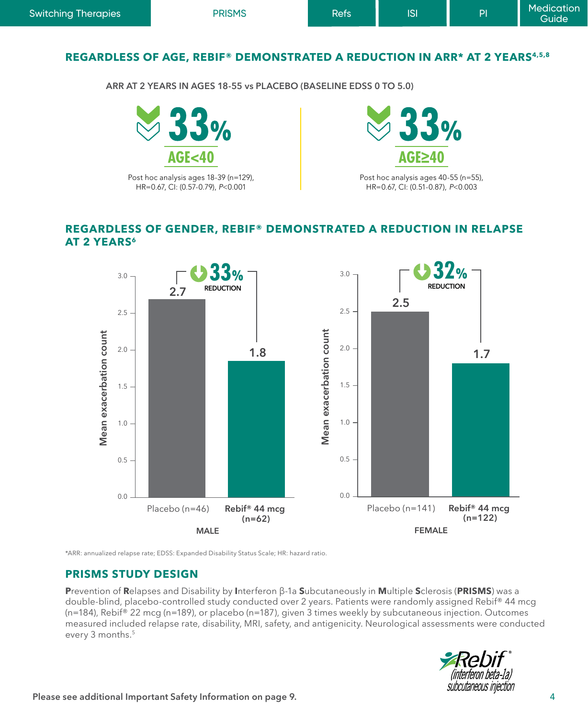### **REGARDLESS OF AGE, REBIF® DEMONSTRATED A REDUCTION IN ARR\* AT 2 YEARS4,5,8**

**ARR AT 2 YEARS IN AGES 18-55 vs PLACEBO (BASELINE EDSS 0 TO 5.0)**



### **REGARDLESS OF GENDER, REBIF® DEMONSTRATED A REDUCTION IN RELAPSE AT 2 YEARS<sup>6</sup>**



\*ARR: annualized relapse rate; EDSS: Expanded Disability Status Scale; HR: hazard ratio.

### **PRISMS STUDY DESIGN**

**P**revention of **R**elapses and Disability by **I**nterferon β-1a **S**ubcutaneously in **M**ultiple **S**clerosis (**PRISMS**) was a double-blind, placebo-controlled study conducted over 2 years. Patients were randomly assigned Rebif® 44 mcg (n=184), Rebif® 22 mcg (n=189), or placebo (n=187), given 3 times weekly by subcutaneous injection. Outcomes measured included relapse rate, disability, MRI, safety, and antigenicity. Neurological assessments were conducted every 3 months.<sup>5</sup>

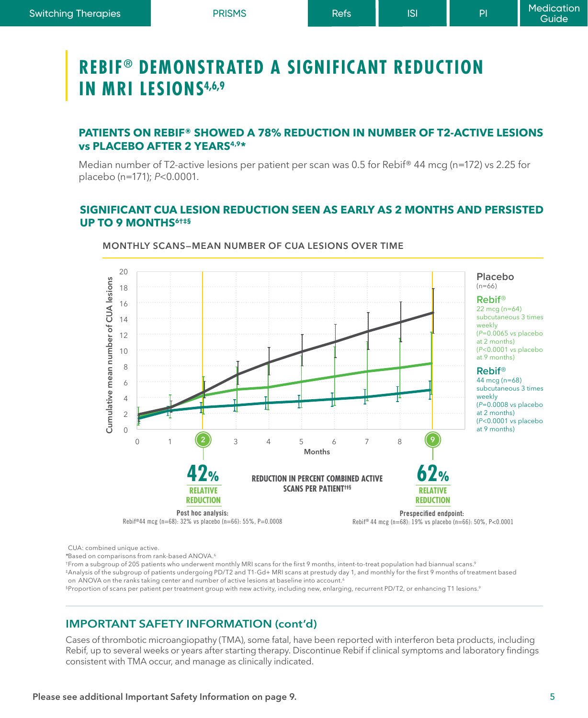### **REBIF® DEMONSTRATED A SIGNIFICANT REDUCTION IN MRI LESIONS4,6,9**

### **PATIENTS ON REBIF® SHOWED A 78% REDUCTION IN NUMBER OF T2-ACTIVE LESIONS vs PLACEBO AFTER 2 YEARS4,9\***

Median number of T2-active lesions per patient per scan was 0.5 for Rebif® 44 mcg (n=172) vs 2.25 for placebo (n=171); *P*<0.0001.

### **SIGNIFICANT CUA LESION REDUCTION SEEN AS EARLY AS 2 MONTHS AND PERSISTED UP TO 9 MONTHS6†‡§**



#### **MONTHLY SCANS—MEAN NUMBER OF CUA LESIONS OVER TIME**

CUA: combined unique active.

\*Based on comparisons from rank-based ANOVA.6

†From a subgroup of 205 patients who underwent monthly MRI scans for the first 9 months, intent-to-treat population had biannual scans.<sup>9</sup>

‡Analysis of the subgroup of patients undergoing PD/T2 and T1-Gd+ MRI scans at prestudy day 1, and monthly for the first 9 months of treatment based on ANOVA on the ranks taking center and number of active lesions at baseline into account.<sup>6</sup>

§Proportion of scans per patient per treatment group with new activity, including new, enlarging, recurrent PD/T2, or enhancing T1 lesions.9

### **IMPORTANT SAFETY INFORMATION (cont'd)**

Cases of thrombotic microangiopathy (TMA), some fatal, have been reported with interferon beta products, including Rebif, up to several weeks or years after starting therapy. Discontinue Rebif if clinical symptoms and laboratory findings consistent with TMA occur, and manage as clinically indicated.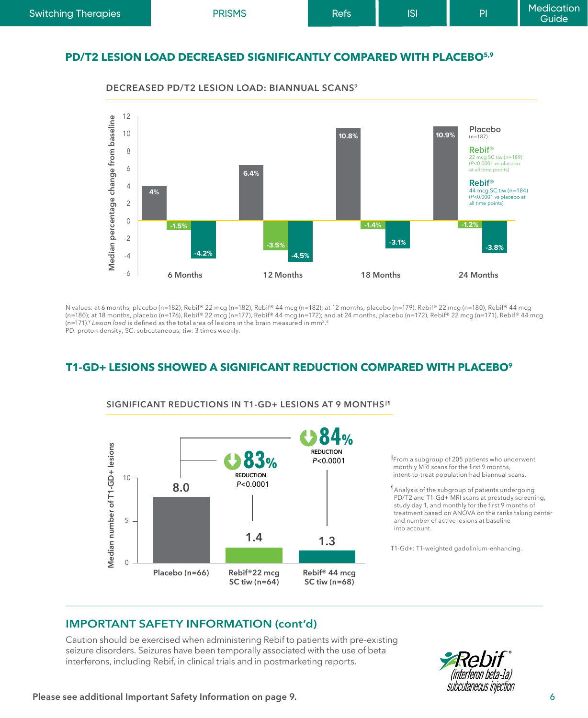| <b>Switching Therapies</b>                                                     | <b>PRISMS</b> | Refs | <b>ISI</b> | PI | <b>Medication</b><br><b>Guide</b> |  |  |  |  |
|--------------------------------------------------------------------------------|---------------|------|------------|----|-----------------------------------|--|--|--|--|
| PD/T2 LESION LOAD DECREASED SIGNIFICANTLY COMPARED WITH PLACEBO <sup>5,9</sup> |               |      |            |    |                                   |  |  |  |  |



**DECREASED PD/T2 LESION LOAD: BIANNUAL SCANS9**

N values: at 6 months, placebo (n=182), Rebif® 22 mcg (n=182), Rebif® 44 mcg (n=182); at 12 months, placebo (n=179), Rebif® 22 mcg (n=180), Rebif® 44 mcg (n=180); at 18 months, placebo (n=176), Rebif® 22 mcg (n=177), Rebif® 44 mcg (n=172); and at 24 months, placebo (n=172), Rebif® 22 mcg (n=171), Rebif® 44 mcg (n=171).9 *Lesion load* is defined as the total area of lesions in the brain measured in mm2. 6 PD: proton density; SC: subcutaneous; tiw: 3 times weekly.

### **T1-GD+ LESIONS SHOWED A SIGNIFICANT REDUCTION COMPARED WITH PLACEBO9**



SIGNIFICANT REDUCTIONS IN T1-GD+ LESIONS AT 9 MONTHS<sup>11</sup>

ǁ From a subgroup of 205 patients who underwent monthly MRI scans for the first 9 months, intent-to-treat population had biannual scans.

¶Analysis of the subgroup of patients undergoing PD/T2 and T1-Gd+ MRI scans at prestudy screening, study day 1, and monthly for the first 9 months of treatment based on ANOVA on the ranks taking center and number of active lesions at baseline into account.

T1-Gd+: T1-weighted gadolinium-enhancing.

### **IMPORTANT SAFETY INFORMATION (cont'd)**

Caution should be exercised when administering Rebif to patients with pre-existing seizure disorders. Seizures have been temporally associated with the use of beta interferons, including Rebif, in clinical trials and in postmarketing reports.

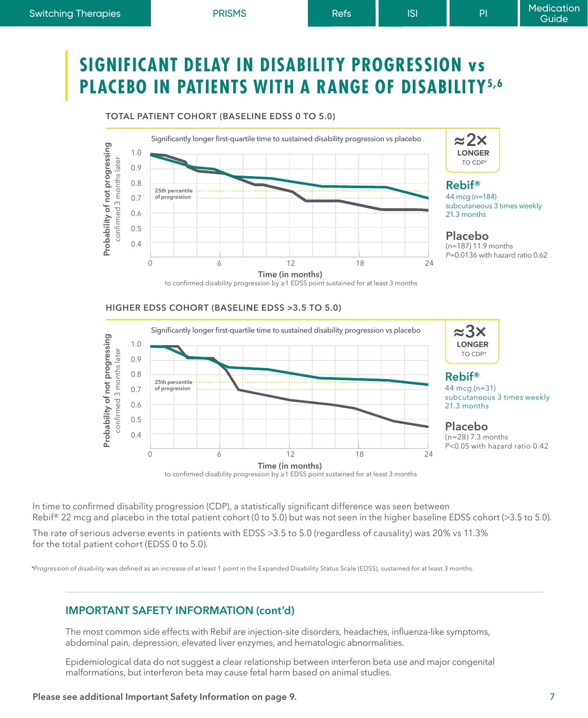**TOTAL PATIENT COHORT (BASELINE EDSS 0 TO 5.0)**

### **SIGNIFICANT DELAY IN DISABILITY PROGRESSION vs PLACEBO IN PATIENTS WITH A RANGE OF DISABILITY5,6**





### **Rebif®**

44 mcg (n=184) subcutaneous 3 times weekly 21.3 months

### **Placebo**

(n=187) 11.9 months *P*=0.0136 with hazard ratio 0.62

to confirmed disability progression by ≥1 EDSS point sustained for at least 3 months

#### **HIGHER EDSS COHORT (BASELINE EDSS >3.5 TO 5.0)**



In time to confirmed disability progression (CDP), a statistically significant difference was seen between Rebif® 22 mcg and placebo in the total patient cohort (0 to 5.0) but was not seen in the higher baseline EDSS cohort (>3.5 to 5.0).

The rate of serious adverse events in patients with EDSS >3.5 to 5.0 (regardless of causality) was 20% vs 11.3% for the total patient cohort (EDSS 0 to 5.0).

\**Progression of disability* was defined as an increase of at least 1 point in the Expanded Disability Status Scale (EDSS), sustained for at least 3 months.

### **IMPORTANT SAFETY INFORMATION (cont'd)**

The most common side effects with Rebif are injection-site disorders, headaches, influenza-like symptoms, abdominal pain, depression, elevated liver enzymes, and hematologic abnormalities.

Epidemiological data do not suggest a clear relationship between interferon beta use and major congenital malformations, but interferon beta may cause fetal harm based on animal studies.

#### **Please see additional Important Safety Information on page 9.**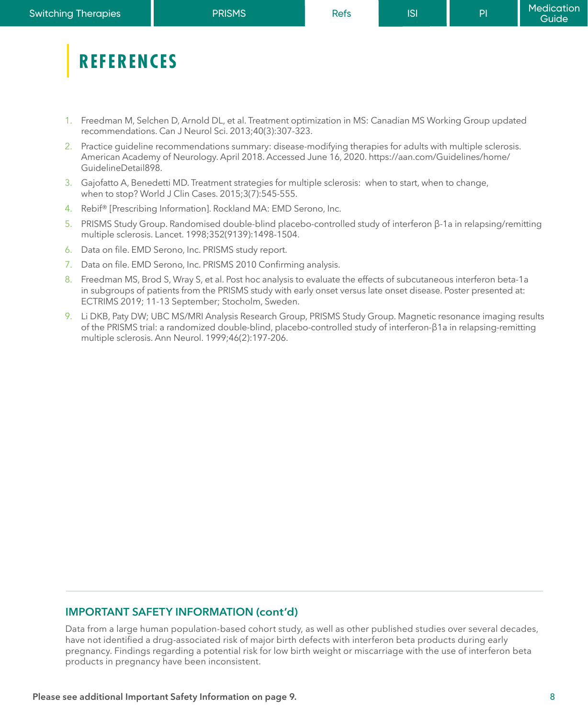### **REFERENCES**

- 1. Freedman M, Selchen D, Arnold DL, et al. Treatment optimization in MS: Canadian MS Working Group updated recommendations. Can J Neurol Sci. 2013;40(3):307-323.
- 2. Practice guideline recommendations summary: disease-modifying therapies for adults with multiple sclerosis. American Academy of Neurology. April 2018. Accessed June 16, 2020. https://aan.com/Guidelines/home/ GuidelineDetail898.
- 3. Gajofatto A, Benedetti MD. Treatment strategies for multiple sclerosis: when to start, when to change, when to stop? World J Clin Cases. 2015;3(7):545-555.
- 4. Rebif® [Prescribing Information]. Rockland MA: EMD Serono, Inc.
- 5. PRISMS Study Group. Randomised double-blind placebo-controlled study of interferon β-1a in relapsing/remitting multiple sclerosis. Lancet. 1998;352(9139):1498-1504.
- 6. Data on file. EMD Serono, Inc. PRISMS study report.
- 7. Data on file. EMD Serono, Inc. PRISMS 2010 Confirming analysis.
- 8. Freedman MS, Brod S, Wray S, et al. Post hoc analysis to evaluate the effects of subcutaneous interferon beta-1a in subgroups of patients from the PRISMS study with early onset versus late onset disease. Poster presented at: ECTRIMS 2019; 11-13 September; Stocholm, Sweden.
- 9. Li DKB, Paty DW; UBC MS/MRI Analysis Research Group, PRISMS Study Group. Magnetic resonance imaging results of the PRISMS trial: a randomized double-blind, placebo-controlled study of interferon-β1a in relapsing-remitting multiple sclerosis. Ann Neurol. 1999;46(2):197-206.

### **IMPORTANT SAFETY INFORMATION (cont'd)**

Data from a large human population-based cohort study, as well as other published studies over several decades, have not identified a drug-associated risk of major birth defects with interferon beta products during early pregnancy. Findings regarding a potential risk for low birth weight or miscarriage with the use of interferon beta products in pregnancy have been inconsistent.